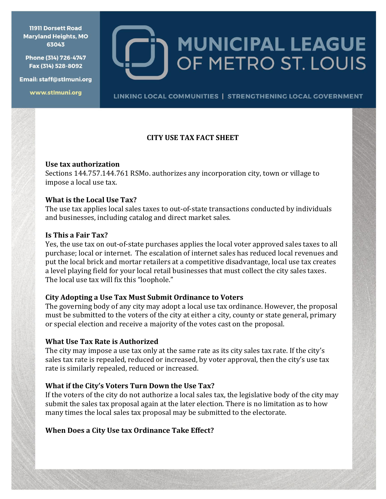**11911 Dorsett Road Maryland Heights, MO** 63043

Phone (314) 726-4747 Fax (314) 528-8092

Email: staff@stlmuni.org

www.stlmuni.org

**MUNICIPAL LEAGUE** OF METRO ST. LOUIS

LINKING LOCAL COMMUNITIES | STRENGTHENING LOCAL GOVERNMENT

# **CITY USE TAX FACT SHEET**

#### **Use tax authorization**

Sections 144.757.144.761 RSMo. authorizes any incorporation city, town or village to impose a local use tax.

### **What is the Local Use Tax?**

The use tax applies local sales taxes to out-of-state transactions conducted by individuals and businesses, including catalog and direct market sales.

### **Is This a Fair Tax?**

Yes, the use tax on out-of-state purchases applies the local voter approved sales taxes to all purchase; local or internet. The escalation of internet sales has reduced local revenues and put the local brick and mortar retailers at a competitive disadvantage, local use tax creates a level playing field for your local retail businesses that must collect the city sales taxes. The local use tax will fix this "loophole."

# **City Adopting a Use Tax Must Submit Ordinance to Voters**

The governing body of any city may adopt a local use tax ordinance. However, the proposal must be submitted to the voters of the city at either a city, county or state general, primary or special election and receive a majority of the votes cast on the proposal.

#### **What Use Tax Rate is Authorized**

The city may impose a use tax only at the same rate as its city sales tax rate. If the city's sales tax rate is repealed, reduced or increased, by voter approval, then the city's use tax rate is similarly repealed, reduced or increased.

# **What if the City's Voters Turn Down the Use Tax?**

If the voters of the city do not authorize a local sales tax, the legislative body of the city may submit the sales tax proposal again at the later election. There is no limitation as to how many times the local sales tax proposal may be submitted to the electorate.

# **When Does a City Use tax Ordinance Take Effect?**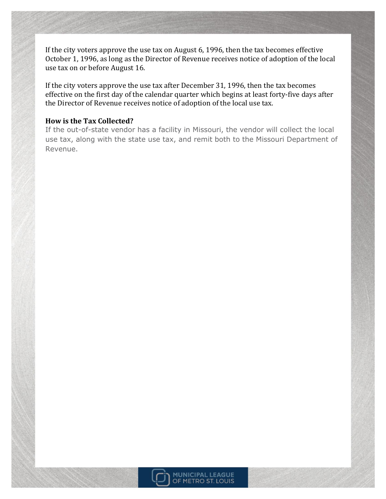If the city voters approve the use tax on August 6, 1996, then the tax becomes effective October 1, 1996, as long as the Director of Revenue receives notice of adoption of the local use tax on or before August 16.

If the city voters approve the use tax after December 31, 1996, then the tax becomes effective on the first day of the calendar quarter which begins at least forty-five days after the Director of Revenue receives notice of adoption of the local use tax.

#### **How is the Tax Collected?**

If the out-of-state vendor has a facility in Missouri, the vendor will collect the local use tax, along with the state use tax, and remit both to the Missouri Department of Revenue.